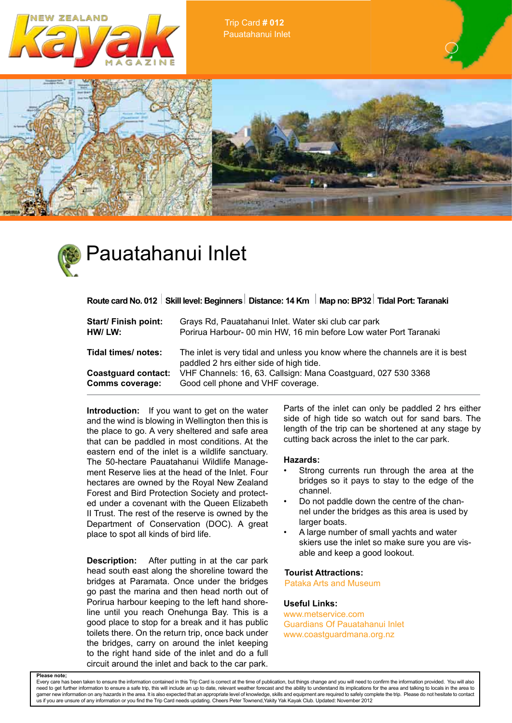





# Pauatahanui Inlet

Route card No. 012 Skill level: Beginners Distance: 14 Km | Map no: BP32 Tidal Port: Taranaki

| Start/ Finish point:       | Grays Rd, Pauatahanui Inlet. Water ski club car park                                                                     |
|----------------------------|--------------------------------------------------------------------------------------------------------------------------|
| HW/ LW:                    | Porirua Harbour- 00 min HW, 16 min before Low water Port Taranaki                                                        |
| Tidal times/ notes:        | The inlet is very tidal and unless you know where the channels are it is best<br>paddled 2 hrs either side of high tide. |
| <b>Coastguard contact:</b> | VHF Channels: 16, 63. Callsign: Mana Coastguard, 027 530 3368                                                            |
| <b>Comms coverage:</b>     | Good cell phone and VHF coverage.                                                                                        |

**Introduction:** If you want to get on the water and the wind is blowing in Wellington then this is the place to go. A very sheltered and safe area that can be paddled in most conditions. At the eastern end of the inlet is a wildlife sanctuary. The 50-hectare Pauatahanui Wildlife Management Reserve lies at the head of the Inlet. Four hectares are owned by the Royal New Zealand Forest and Bird Protection Society and protected under a covenant with the Queen Elizabeth II Trust. The rest of the reserve is owned by the Department of Conservation (DOC). A great place to spot all kinds of bird life.

**Description:** After putting in at the car park head south east along the shoreline toward the bridges at Paramata. Once under the bridges go past the marina and then head north out of Porirua harbour keeping to the left hand shoreline until you reach Onehunga Bay. This is a good place to stop for a break and it has public toilets there. On the return trip, once back under the bridges, carry on around the inlet keeping to the right hand side of the inlet and do a full circuit around the inlet and back to the car park. Parts of the inlet can only be paddled 2 hrs either side of high tide so watch out for sand bars. The length of the trip can be shortened at any stage by cutting back across the inlet to the car park.

#### **Hazards:**

- Strong currents run through the area at the bridges so it pays to stay to the edge of the channel.
- Do not paddle down the centre of the channel under the bridges as this area is used by larger boats.
- A large number of small yachts and water skiers use the inlet so make sure you are visable and keep a good lookout.

#### **Tourist Attractions:**

Pataka Arts and Museum

### **Useful Links:**

www.metservice.com Guardians Of Pauatahanui Inlet www.coastguardmana.org.nz

**Please note;**<br>Every care has b een taken to ensure the information contained in this Trip Card is correct at the time of publication, but things change and you will need to confirm the information provided. You will also need to get further information to ensure a safe trip, this will include an up to date, relevant weather forecast and the ability to understand its implications for the area and talking to locals in the area to<br>garner new us if you are unsure of any information or you find the Trip Card needs updating. Cheers Peter Townend,Yakity Yak Kayak Club. Updated: November 2012